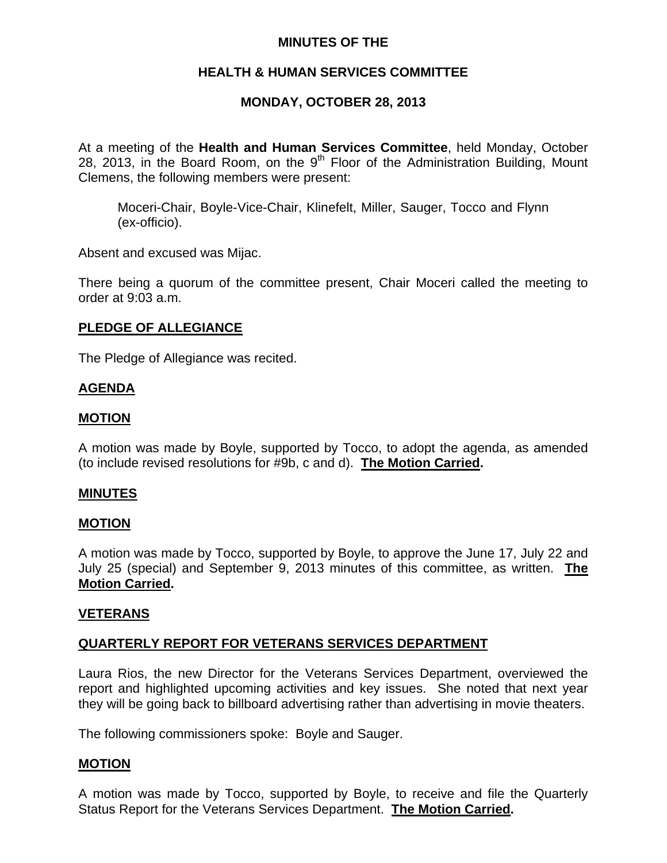# **MINUTES OF THE**

# **HEALTH & HUMAN SERVICES COMMITTEE**

## **MONDAY, OCTOBER 28, 2013**

At a meeting of the **Health and Human Services Committee**, held Monday, October 28, 2013, in the Board Room, on the  $9<sup>th</sup>$  Floor of the Administration Building, Mount Clemens, the following members were present:

Moceri-Chair, Boyle-Vice-Chair, Klinefelt, Miller, Sauger, Tocco and Flynn (ex-officio).

Absent and excused was Mijac.

There being a quorum of the committee present, Chair Moceri called the meeting to order at 9:03 a.m.

### **PLEDGE OF ALLEGIANCE**

The Pledge of Allegiance was recited.

## **AGENDA**

### **MOTION**

A motion was made by Boyle, supported by Tocco, to adopt the agenda, as amended (to include revised resolutions for #9b, c and d). **The Motion Carried.** 

### **MINUTES**

#### **MOTION**

A motion was made by Tocco, supported by Boyle, to approve the June 17, July 22 and July 25 (special) and September 9, 2013 minutes of this committee, as written. **The Motion Carried.** 

### **VETERANS**

### **QUARTERLY REPORT FOR VETERANS SERVICES DEPARTMENT**

Laura Rios, the new Director for the Veterans Services Department, overviewed the report and highlighted upcoming activities and key issues. She noted that next year they will be going back to billboard advertising rather than advertising in movie theaters.

The following commissioners spoke: Boyle and Sauger.

### **MOTION**

A motion was made by Tocco, supported by Boyle, to receive and file the Quarterly Status Report for the Veterans Services Department. **The Motion Carried.**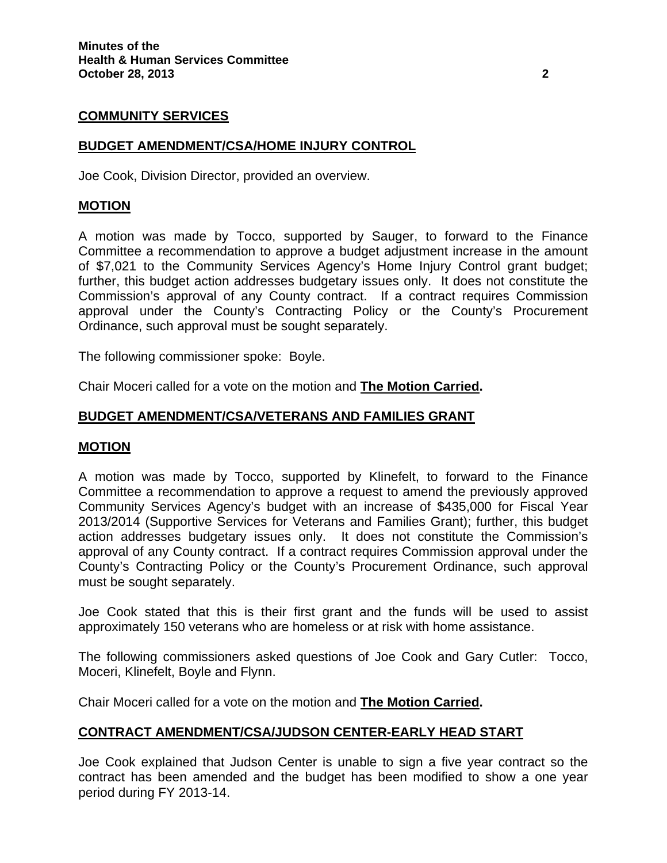## **COMMUNITY SERVICES**

## **BUDGET AMENDMENT/CSA/HOME INJURY CONTROL**

Joe Cook, Division Director, provided an overview.

### **MOTION**

A motion was made by Tocco, supported by Sauger, to forward to the Finance Committee a recommendation to approve a budget adjustment increase in the amount of \$7,021 to the Community Services Agency's Home Injury Control grant budget; further, this budget action addresses budgetary issues only. It does not constitute the Commission's approval of any County contract. If a contract requires Commission approval under the County's Contracting Policy or the County's Procurement Ordinance, such approval must be sought separately.

The following commissioner spoke: Boyle.

Chair Moceri called for a vote on the motion and **The Motion Carried.** 

### **BUDGET AMENDMENT/CSA/VETERANS AND FAMILIES GRANT**

#### **MOTION**

A motion was made by Tocco, supported by Klinefelt, to forward to the Finance Committee a recommendation to approve a request to amend the previously approved Community Services Agency's budget with an increase of \$435,000 for Fiscal Year 2013/2014 (Supportive Services for Veterans and Families Grant); further, this budget action addresses budgetary issues only. It does not constitute the Commission's approval of any County contract. If a contract requires Commission approval under the County's Contracting Policy or the County's Procurement Ordinance, such approval must be sought separately.

Joe Cook stated that this is their first grant and the funds will be used to assist approximately 150 veterans who are homeless or at risk with home assistance.

The following commissioners asked questions of Joe Cook and Gary Cutler: Tocco, Moceri, Klinefelt, Boyle and Flynn.

Chair Moceri called for a vote on the motion and **The Motion Carried.** 

### **CONTRACT AMENDMENT/CSA/JUDSON CENTER-EARLY HEAD START**

Joe Cook explained that Judson Center is unable to sign a five year contract so the contract has been amended and the budget has been modified to show a one year period during FY 2013-14.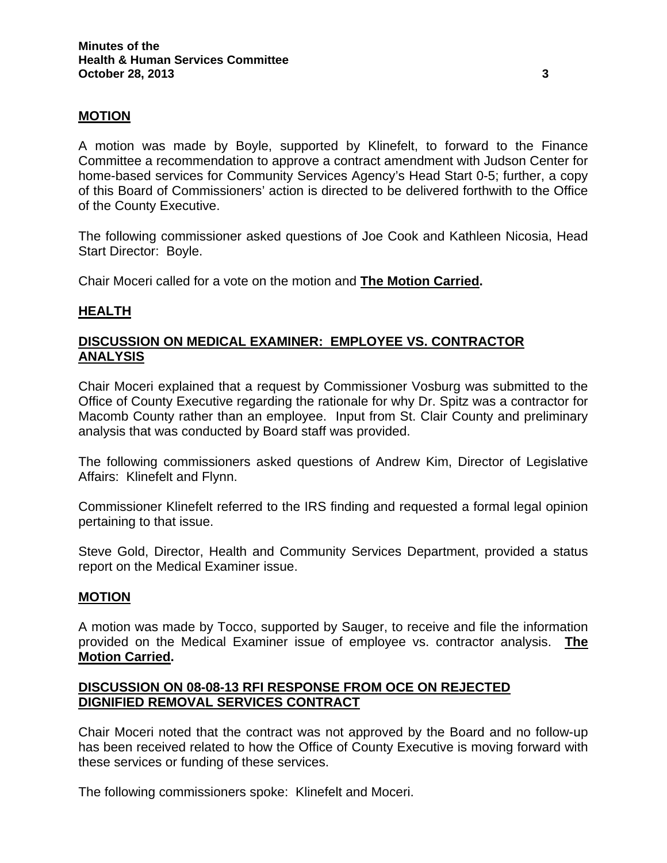## **MOTION**

A motion was made by Boyle, supported by Klinefelt, to forward to the Finance Committee a recommendation to approve a contract amendment with Judson Center for home-based services for Community Services Agency's Head Start 0-5; further, a copy of this Board of Commissioners' action is directed to be delivered forthwith to the Office of the County Executive.

The following commissioner asked questions of Joe Cook and Kathleen Nicosia, Head Start Director: Boyle.

Chair Moceri called for a vote on the motion and **The Motion Carried.** 

## **HEALTH**

# **DISCUSSION ON MEDICAL EXAMINER: EMPLOYEE VS. CONTRACTOR ANALYSIS**

Chair Moceri explained that a request by Commissioner Vosburg was submitted to the Office of County Executive regarding the rationale for why Dr. Spitz was a contractor for Macomb County rather than an employee. Input from St. Clair County and preliminary analysis that was conducted by Board staff was provided.

The following commissioners asked questions of Andrew Kim, Director of Legislative Affairs: Klinefelt and Flynn.

Commissioner Klinefelt referred to the IRS finding and requested a formal legal opinion pertaining to that issue.

Steve Gold, Director, Health and Community Services Department, provided a status report on the Medical Examiner issue.

### **MOTION**

A motion was made by Tocco, supported by Sauger, to receive and file the information provided on the Medical Examiner issue of employee vs. contractor analysis. **The Motion Carried.** 

## **DISCUSSION ON 08-08-13 RFI RESPONSE FROM OCE ON REJECTED DIGNIFIED REMOVAL SERVICES CONTRACT**

Chair Moceri noted that the contract was not approved by the Board and no follow-up has been received related to how the Office of County Executive is moving forward with these services or funding of these services.

The following commissioners spoke: Klinefelt and Moceri.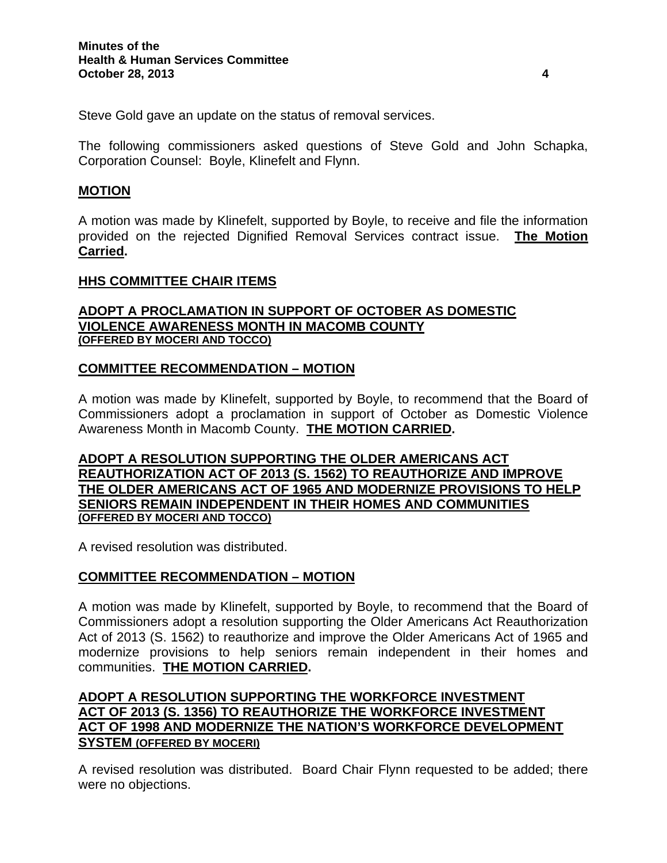Steve Gold gave an update on the status of removal services.

The following commissioners asked questions of Steve Gold and John Schapka, Corporation Counsel: Boyle, Klinefelt and Flynn.

## **MOTION**

A motion was made by Klinefelt, supported by Boyle, to receive and file the information provided on the rejected Dignified Removal Services contract issue. **The Motion Carried.** 

## **HHS COMMITTEE CHAIR ITEMS**

## **ADOPT A PROCLAMATION IN SUPPORT OF OCTOBER AS DOMESTIC VIOLENCE AWARENESS MONTH IN MACOMB COUNTY (OFFERED BY MOCERI AND TOCCO)**

## **COMMITTEE RECOMMENDATION – MOTION**

A motion was made by Klinefelt, supported by Boyle, to recommend that the Board of Commissioners adopt a proclamation in support of October as Domestic Violence Awareness Month in Macomb County. **THE MOTION CARRIED.** 

**ADOPT A RESOLUTION SUPPORTING THE OLDER AMERICANS ACT REAUTHORIZATION ACT OF 2013 (S. 1562) TO REAUTHORIZE AND IMPROVE THE OLDER AMERICANS ACT OF 1965 AND MODERNIZE PROVISIONS TO HELP SENIORS REMAIN INDEPENDENT IN THEIR HOMES AND COMMUNITIES (OFFERED BY MOCERI AND TOCCO)**

A revised resolution was distributed.

# **COMMITTEE RECOMMENDATION – MOTION**

A motion was made by Klinefelt, supported by Boyle, to recommend that the Board of Commissioners adopt a resolution supporting the Older Americans Act Reauthorization Act of 2013 (S. 1562) to reauthorize and improve the Older Americans Act of 1965 and modernize provisions to help seniors remain independent in their homes and communities. **THE MOTION CARRIED.** 

# **ADOPT A RESOLUTION SUPPORTING THE WORKFORCE INVESTMENT ACT OF 2013 (S. 1356) TO REAUTHORIZE THE WORKFORCE INVESTMENT ACT OF 1998 AND MODERNIZE THE NATION'S WORKFORCE DEVELOPMENT SYSTEM (OFFERED BY MOCERI)**

A revised resolution was distributed. Board Chair Flynn requested to be added; there were no objections.